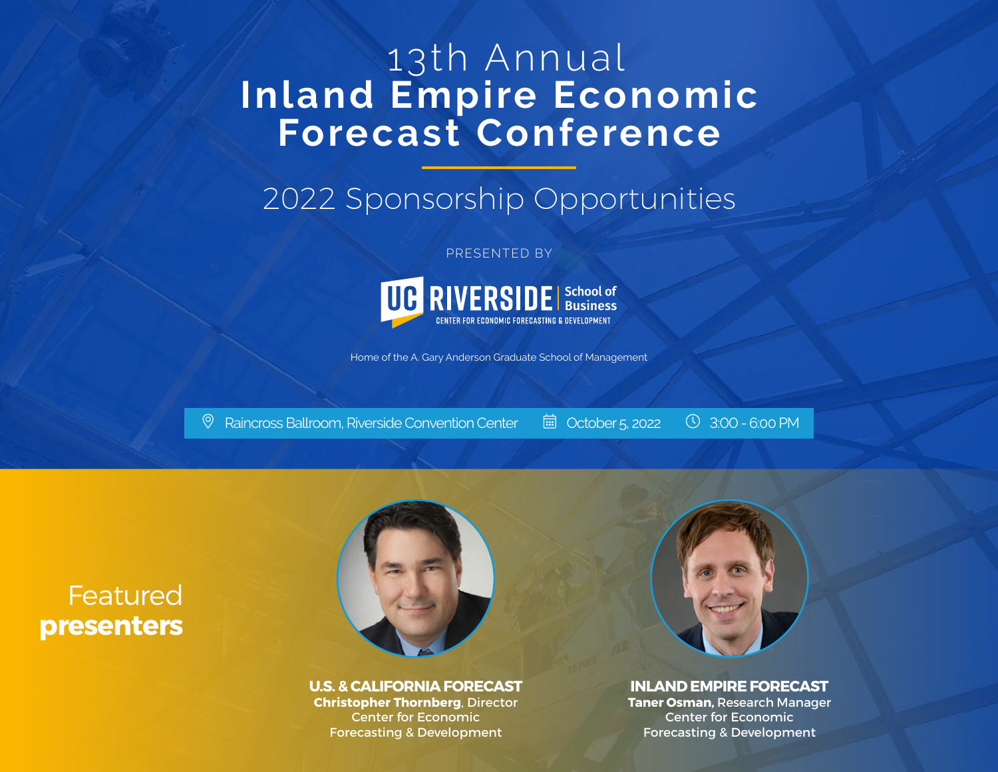# 13th Annual **Inland Empire Economic Forecast Conference**

# 2022 Sponsorship Opportunities

#### PRESENTED BY



Home of the A. Gary Anderson Graduate School of Management

**P** Raincross Ballroom, Riverside Convention Center  $\Box$  October 5, 2022  $\Box$  3:00 - 6:00 PM

## **Featured presenters**



### **U.S. & CALIFORNIA FORECAST**

**Christopher Thornberg**, Director Center for Economic Forecasting & Development



**INLAND EMPIRE FORECAST**

**Taner Osman,** Research Manager Center for Economic Forecasting & Development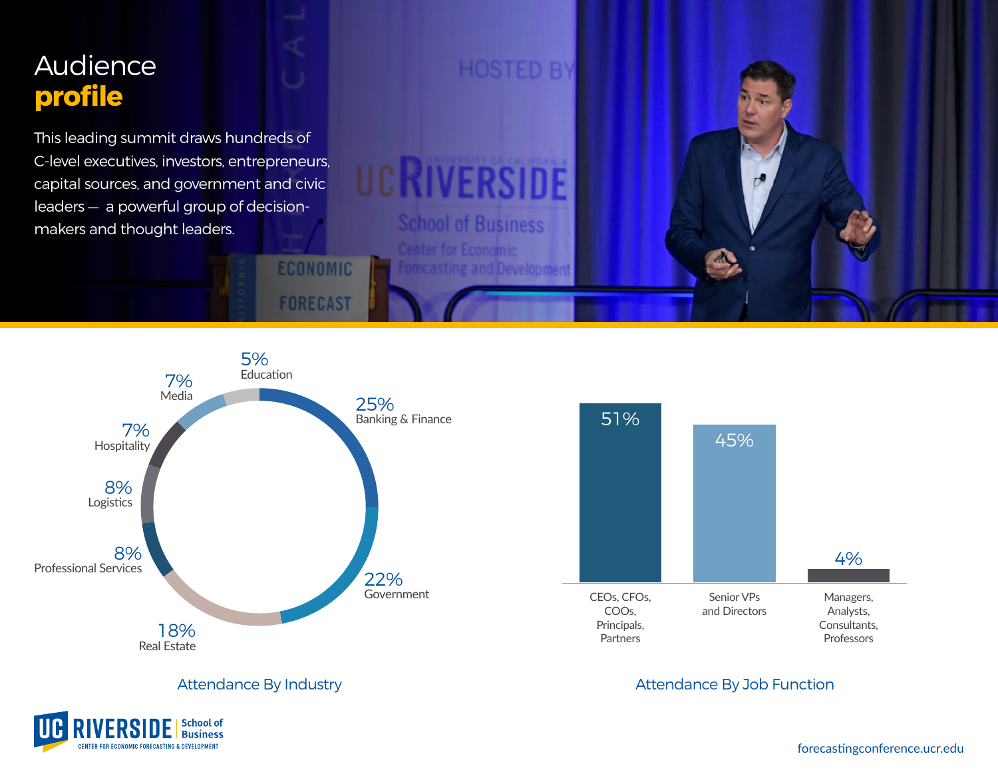### Audience **HOSTED BY profile** This leading summit draws hundreds of C-level executives, investors, entrepreneurs, **UCRIVERSIDE** capital sources, and government and civic leaders — a powerful group of decision-**School of Business** makers and thought leaders. iter for Economic ECONOMIC **FORECAST**





#### Attendance By Job Function



forecastingconference.ucr.edu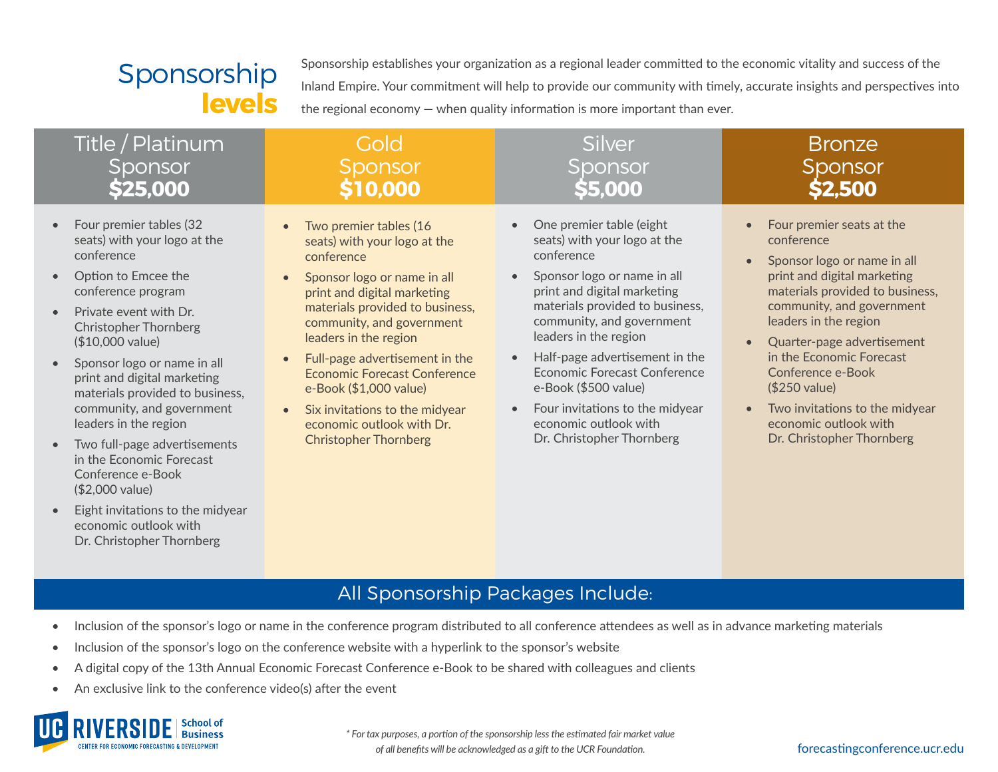## Sponsorship **levels**

Sponsorship establishes your organization as a regional leader committed to the economic vitality and success of the Inland Empire. Your commitment will help to provide our community with timely, accurate insights and perspectives into the regional economy — when quality information is more important than ever.

|                                                                            | Title / Platinum<br>Sponsor                                                                                                                                                                                                                                                                                                                                                                                                                                                                                                                           | Gold<br>Sponsor<br>10.000                                                                                                                                                                                                                                                                                                                                                                                                                  | Silver<br>Sponsor                                                                                                                                                                                                                                                                                                                                                                                                       | <b>Bronze</b><br>Sponsor                                                                                                                                                                                                                                                                                                                                                                                                      |
|----------------------------------------------------------------------------|-------------------------------------------------------------------------------------------------------------------------------------------------------------------------------------------------------------------------------------------------------------------------------------------------------------------------------------------------------------------------------------------------------------------------------------------------------------------------------------------------------------------------------------------------------|--------------------------------------------------------------------------------------------------------------------------------------------------------------------------------------------------------------------------------------------------------------------------------------------------------------------------------------------------------------------------------------------------------------------------------------------|-------------------------------------------------------------------------------------------------------------------------------------------------------------------------------------------------------------------------------------------------------------------------------------------------------------------------------------------------------------------------------------------------------------------------|-------------------------------------------------------------------------------------------------------------------------------------------------------------------------------------------------------------------------------------------------------------------------------------------------------------------------------------------------------------------------------------------------------------------------------|
| $\bullet$<br>$\bullet$<br>$\bullet$<br>$\bullet$<br>$\bullet$<br>$\bullet$ | Four premier tables (32<br>seats) with your logo at the<br>conference<br>Option to Emcee the<br>conference program<br>Private event with Dr.<br><b>Christopher Thornberg</b><br>(\$10,000 value)<br>Sponsor logo or name in all<br>print and digital marketing<br>materials provided to business,<br>community, and government<br>leaders in the region<br>Two full-page advertisements<br>in the Economic Forecast<br>Conference e-Book<br>(\$2,000 value)<br>Eight invitations to the midyear<br>economic outlook with<br>Dr. Christopher Thornberg | Two premier tables (16<br>seats) with your logo at the<br>conference<br>Sponsor logo or name in all<br>print and digital marketing<br>materials provided to business,<br>community, and government<br>leaders in the region<br>Full-page advertisement in the<br>$\bullet$<br><b>Economic Forecast Conference</b><br>e-Book (\$1,000 value)<br>Six invitations to the midyear<br>economic outlook with Dr.<br><b>Christopher Thornberg</b> | One premier table (eight<br>seats) with your logo at the<br>conference<br>Sponsor logo or name in all<br>print and digital marketing<br>materials provided to business,<br>community, and government<br>leaders in the region<br>Half-page advertisement in the<br><b>Economic Forecast Conference</b><br>e-Book (\$500 value)<br>Four invitations to the midyear<br>economic outlook with<br>Dr. Christopher Thornberg | Four premier seats at the<br>conference<br>Sponsor logo or name in all<br>$\bullet$<br>print and digital marketing<br>materials provided to business,<br>community, and government<br>leaders in the region<br>Quarter-page advertisement<br>$\bullet$<br>in the Economic Forecast<br>Conference e-Book<br>(\$250 value)<br>Two invitations to the midyear<br>$\bullet$<br>economic outlook with<br>Dr. Christopher Thornberg |

### All Sponsorship Packages Include:

- Inclusion of the sponsor's logo or name in the conference program distributed to all conference attendees as well as in advance marketing materials
- Inclusion of the sponsor's logo on the conference website with a hyperlink to the sponsor's website
- A digital copy of the 13th Annual Economic Forecast Conference e-Book to be shared with colleagues and clients
- An exclusive link to the conference video(s) after the event